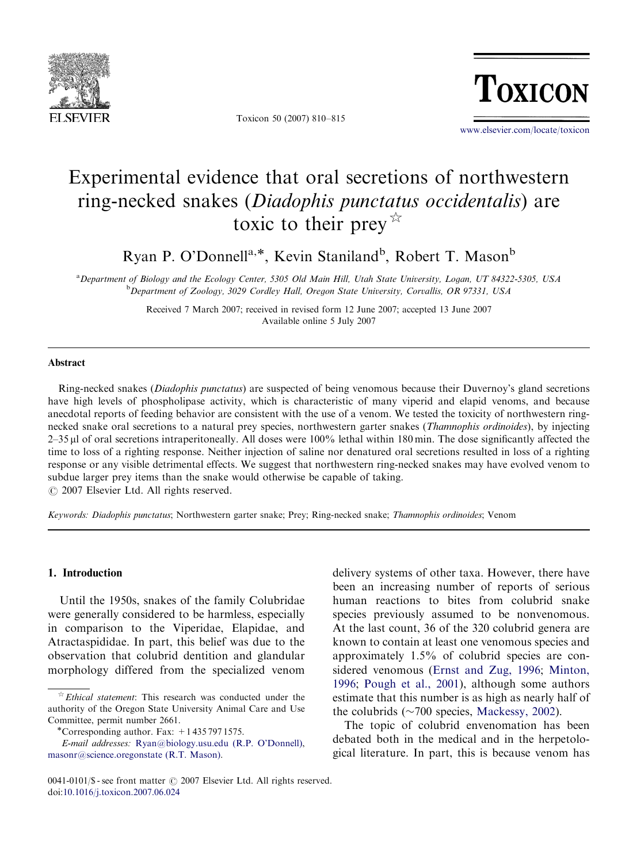

Toxicon 50 (2007) 810–815

**TOXICON** 

<www.elsevier.com/locate/toxicon>

# Experimental evidence that oral secretions of northwestern ring-necked snakes (Diadophis punctatus occidentalis) are toxic to their prey  $\overrightarrow{r}$

Ryan P. O'Donnell<sup>a,\*</sup>, Kevin Staniland<sup>b</sup>, Robert T. Mason<sup>b</sup>

a Department of Biology and the Ecology Center, 5305 Old Main Hill, Utah State University, Logan, UT 84322-5305, USA <sup>b</sup>Department of Zoology, 3029 Cordley Hall, Oregon State University, Corvallis, OR 97331, USA

> Received 7 March 2007; received in revised form 12 June 2007; accepted 13 June 2007 Available online 5 July 2007

#### Abstract

Ring-necked snakes (*Diadophis punctatus*) are suspected of being venomous because their Duvernoy's gland secretions have high levels of phospholipase activity, which is characteristic of many viperid and elapid venoms, and because anecdotal reports of feeding behavior are consistent with the use of a venom. We tested the toxicity of northwestern ringnecked snake oral secretions to a natural prey species, northwestern garter snakes (Thamnophis ordinoides), by injecting 2–35 ml of oral secretions intraperitoneally. All doses were 100% lethal within 180 min. The dose significantly affected the time to loss of a righting response. Neither injection of saline nor denatured oral secretions resulted in loss of a righting response or any visible detrimental effects. We suggest that northwestern ring-necked snakes may have evolved venom to subdue larger prey items than the snake would otherwise be capable of taking.

 $\odot$  2007 Elsevier Ltd. All rights reserved.

Keywords: Diadophis punctatus; Northwestern garter snake; Prey; Ring-necked snake; Thamnophis ordinoides; Venom

## 1. Introduction

Until the 1950s, snakes of the family Colubridae were generally considered to be harmless, especially in comparison to the Viperidae, Elapidae, and Atractaspididae. In part, this belief was due to the observation that colubrid dentition and glandular morphology differed from the specialized venom delivery systems of other taxa. However, there have been an increasing number of reports of serious human reactions to bites from colubrid snake species previously assumed to be nonvenomous. At the last count, 36 of the 320 colubrid genera are known to contain at least one venomous species and approximately 1.5% of colubrid species are considered venomous [\(Ernst and Zug, 1996;](#page-5-0) [Minton,](#page-5-0) [1996](#page-5-0); [Pough et al., 2001](#page-5-0)), although some authors estimate that this number is as high as nearly half of the colubrids  $(\sim 700$  species, [Mackessy, 2002\)](#page-5-0).

The topic of colubrid envenomation has been debated both in the medical and in the herpetological literature. In part, this is because venom has

 $\overrightarrow{r}$  *Ethical statement*: This research was conducted under the authority of the Oregon State University Animal Care and Use Committee, permit number 2661.

<sup>\*</sup>Corresponding author. Fax:  $+14357971575$ .

E-mail addresses: [Ryan@biology.usu.edu \(R.P. O'Donnell\)](mailto:Ryan@biology.usu.edu), [masonr@science.oregonstate \(R.T. Mason\).](mailto:masonr@science.oregonstate)

<sup>0041-0101/\$ -</sup> see front matter  $\odot$  2007 Elsevier Ltd. All rights reserved. doi[:10.1016/j.toxicon.2007.06.024](dx.doi.org/10.1016/j.toxicon.2007.06.024)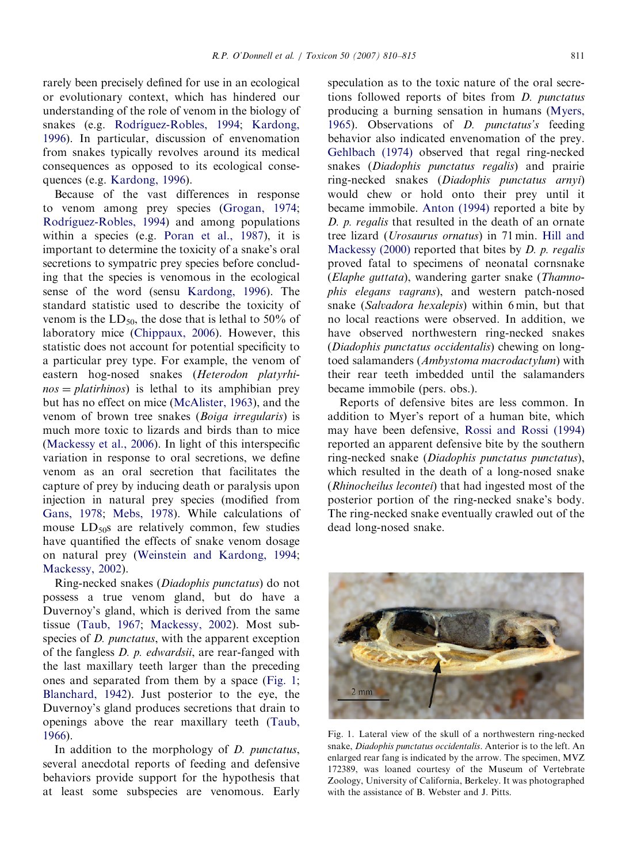rarely been precisely defined for use in an ecological or evolutionary context, which has hindered our understanding of the role of venom in the biology of snakes (e.g. Rodríguez-Robles, 1994; [Kardong,](#page-5-0) [1996\)](#page-5-0). In particular, discussion of envenomation from snakes typically revolves around its medical consequences as opposed to its ecological consequences (e.g. [Kardong, 1996\)](#page-5-0).

Because of the vast differences in response to venom among prey species [\(Grogan, 1974](#page-5-0); Rodríguez-Robles, 1994) and among populations within a species (e.g. [Poran et al., 1987\)](#page-5-0), it is important to determine the toxicity of a snake's oral secretions to sympatric prey species before concluding that the species is venomous in the ecological sense of the word (sensu [Kardong, 1996](#page-5-0)). The standard statistic used to describe the toxicity of venom is the  $LD_{50}$ , the dose that is lethal to 50% of laboratory mice [\(Chippaux, 2006](#page-5-0)). However, this statistic does not account for potential specificity to a particular prey type. For example, the venom of eastern hog-nosed snakes (Heterodon platyrhi $nos = platirhinos$  is lethal to its amphibian prey but has no effect on mice [\(McAlister, 1963\)](#page-5-0), and the venom of brown tree snakes (Boiga irregularis) is much more toxic to lizards and birds than to mice [\(Mackessy et al., 2006](#page-5-0)). In light of this interspecific variation in response to oral secretions, we define venom as an oral secretion that facilitates the capture of prey by inducing death or paralysis upon injection in natural prey species (modified from [Gans, 1978](#page-5-0); [Mebs, 1978](#page-5-0)). While calculations of mouse  $LD_{50}$ s are relatively common, few studies have quantified the effects of snake venom dosage on natural prey [\(Weinstein and Kardong, 1994](#page-5-0); [Mackessy, 2002\)](#page-5-0).

Ring-necked snakes (Diadophis punctatus) do not possess a true venom gland, but do have a Duvernoy's gland, which is derived from the same tissue ([Taub, 1967;](#page-5-0) [Mackessy, 2002\)](#page-5-0). Most subspecies of *D. punctatus*, with the apparent exception of the fangless D. p. edwardsii, are rear-fanged with the last maxillary teeth larger than the preceding ones and separated from them by a space (Fig. 1; [Blanchard, 1942](#page-5-0)). Just posterior to the eye, the Duvernoy's gland produces secretions that drain to openings above the rear maxillary teeth ([Taub,](#page-5-0) [1966\)](#page-5-0).

In addition to the morphology of *D. punctatus*, several anecdotal reports of feeding and defensive behaviors provide support for the hypothesis that at least some subspecies are venomous. Early

speculation as to the toxic nature of the oral secretions followed reports of bites from D. punctatus producing a burning sensation in humans [\(Myers,](#page-5-0) [1965\)](#page-5-0). Observations of D. punctatus's feeding behavior also indicated envenomation of the prey. [Gehlbach \(1974\)](#page-5-0) observed that regal ring-necked snakes (*Diadophis punctatus regalis*) and prairie ring-necked snakes (Diadophis punctatus arnyi) would chew or hold onto their prey until it became immobile. [Anton \(1994\)](#page-5-0) reported a bite by D. p. regalis that resulted in the death of an ornate tree lizard (Urosaurus ornatus) in 71 min. [Hill and](#page-5-0) Mackessy  $(2000)$  reported that bites by D. p. regalis proved fatal to specimens of neonatal cornsnake (Elaphe guttata), wandering garter snake (Thamnophis elegans vagrans), and western patch-nosed snake (Salvadora hexalepis) within 6 min, but that no local reactions were observed. In addition, we have observed northwestern ring-necked snakes (Diadophis punctatus occidentalis) chewing on longtoed salamanders (Ambystoma macrodactylum) with their rear teeth imbedded until the salamanders became immobile (pers. obs.).

Reports of defensive bites are less common. In addition to Myer's report of a human bite, which may have been defensive, [Rossi and Rossi \(1994\)](#page-5-0) reported an apparent defensive bite by the southern ring-necked snake (Diadophis punctatus punctatus), which resulted in the death of a long-nosed snake (Rhinocheilus lecontei) that had ingested most of the posterior portion of the ring-necked snake's body. The ring-necked snake eventually crawled out of the dead long-nosed snake.



Fig. 1. Lateral view of the skull of a northwestern ring-necked snake, Diadophis punctatus occidentalis. Anterior is to the left. An enlarged rear fang is indicated by the arrow. The specimen, MVZ 172389, was loaned courtesy of the Museum of Vertebrate Zoology, University of California, Berkeley. It was photographed with the assistance of B. Webster and J. Pitts.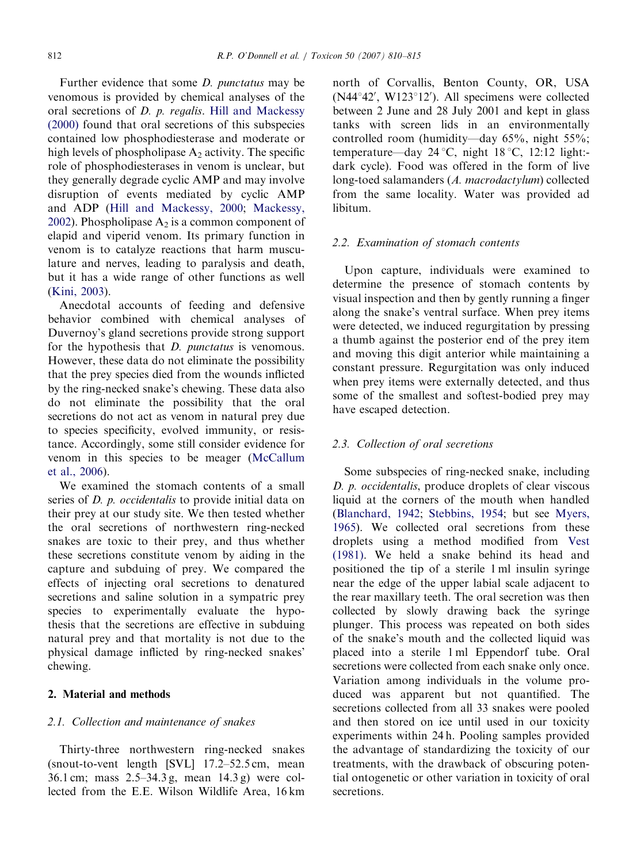Further evidence that some D. punctatus may be venomous is provided by chemical analyses of the oral secretions of D. p. regalis. [Hill and Mackessy](#page-5-0) [\(2000\)](#page-5-0) found that oral secretions of this subspecies contained low phosphodiesterase and moderate or high levels of phospholipase  $A_2$  activity. The specific role of phosphodiesterases in venom is unclear, but they generally degrade cyclic AMP and may involve disruption of events mediated by cyclic AMP and ADP [\(Hill and Mackessy, 2000](#page-5-0); [Mackessy,](#page-5-0) [2002](#page-5-0)). Phospholipase  $A_2$  is a common component of elapid and viperid venom. Its primary function in venom is to catalyze reactions that harm musculature and nerves, leading to paralysis and death, but it has a wide range of other functions as well ([Kini, 2003\)](#page-5-0).

Anecdotal accounts of feeding and defensive behavior combined with chemical analyses of Duvernoy's gland secretions provide strong support for the hypothesis that D. punctatus is venomous. However, these data do not eliminate the possibility that the prey species died from the wounds inflicted by the ring-necked snake's chewing. These data also do not eliminate the possibility that the oral secretions do not act as venom in natural prey due to species specificity, evolved immunity, or resistance. Accordingly, some still consider evidence for venom in this species to be meager ([McCallum](#page-5-0) [et al., 2006\)](#page-5-0).

We examined the stomach contents of a small series of *D. p. occidentalis* to provide initial data on their prey at our study site. We then tested whether the oral secretions of northwestern ring-necked snakes are toxic to their prey, and thus whether these secretions constitute venom by aiding in the capture and subduing of prey. We compared the effects of injecting oral secretions to denatured secretions and saline solution in a sympatric prey species to experimentally evaluate the hypothesis that the secretions are effective in subduing natural prey and that mortality is not due to the physical damage inflicted by ring-necked snakes' chewing.

# 2. Material and methods

### 2.1. Collection and maintenance of snakes

Thirty-three northwestern ring-necked snakes (snout-to-vent length [SVL] 17.2–52.5 cm, mean 36.1 cm; mass 2.5–34.3 g, mean 14.3 g) were collected from the E.E. Wilson Wildlife Area, 16 km

north of Corvallis, Benton County, OR, USA (N44°42', W123°12'). All specimens were collected between 2 June and 28 July 2001 and kept in glass tanks with screen lids in an environmentally controlled room (humidity—day 65%, night 55%; temperature—day  $24^{\circ}$ C, night 18 °C, 12:12 light:dark cycle). Food was offered in the form of live long-toed salamanders (A. macrodactylum) collected from the same locality. Water was provided ad libitum.

#### 2.2. Examination of stomach contents

Upon capture, individuals were examined to determine the presence of stomach contents by visual inspection and then by gently running a finger along the snake's ventral surface. When prey items were detected, we induced regurgitation by pressing a thumb against the posterior end of the prey item and moving this digit anterior while maintaining a constant pressure. Regurgitation was only induced when prey items were externally detected, and thus some of the smallest and softest-bodied prey may have escaped detection.

## 2.3. Collection of oral secretions

Some subspecies of ring-necked snake, including D. p. occidentalis, produce droplets of clear viscous liquid at the corners of the mouth when handled ([Blanchard, 1942](#page-5-0); [Stebbins, 1954](#page-5-0); but see [Myers,](#page-5-0) [1965](#page-5-0)). We collected oral secretions from these droplets using a method modified from [Vest](#page-5-0) [\(1981\).](#page-5-0) We held a snake behind its head and positioned the tip of a sterile 1 ml insulin syringe near the edge of the upper labial scale adjacent to the rear maxillary teeth. The oral secretion was then collected by slowly drawing back the syringe plunger. This process was repeated on both sides of the snake's mouth and the collected liquid was placed into a sterile 1 ml Eppendorf tube. Oral secretions were collected from each snake only once. Variation among individuals in the volume produced was apparent but not quantified. The secretions collected from all 33 snakes were pooled and then stored on ice until used in our toxicity experiments within 24 h. Pooling samples provided the advantage of standardizing the toxicity of our treatments, with the drawback of obscuring potential ontogenetic or other variation in toxicity of oral secretions.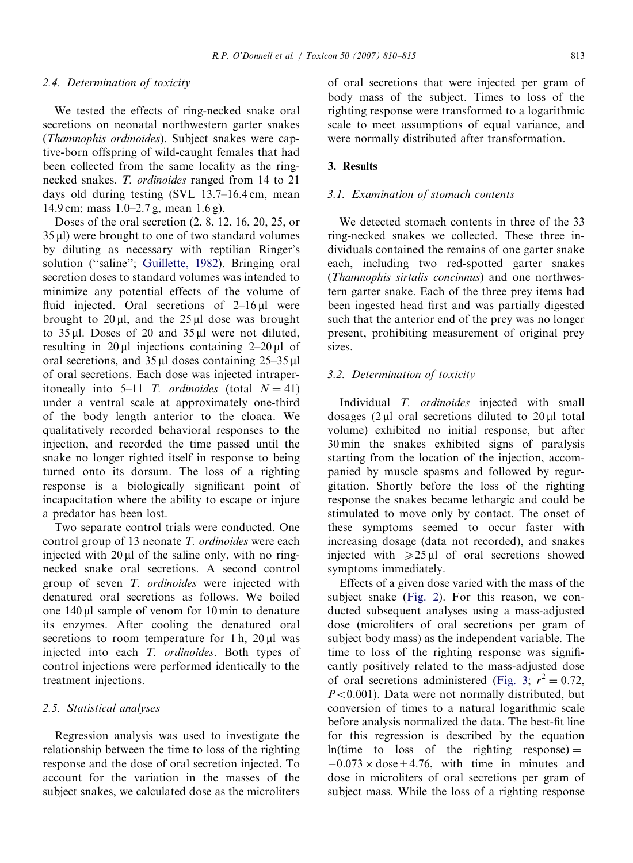### 2.4. Determination of toxicity

We tested the effects of ring-necked snake oral secretions on neonatal northwestern garter snakes (Thamnophis ordinoides). Subject snakes were captive-born offspring of wild-caught females that had been collected from the same locality as the ringnecked snakes. T. ordinoides ranged from 14 to 21 days old during testing (SVL 13.7–16.4 cm, mean 14.9 cm; mass 1.0–2.7 g, mean 1.6 g).

Doses of the oral secretion (2, 8, 12, 16, 20, 25, or 35 ml) were brought to one of two standard volumes by diluting as necessary with reptilian Ringer's solution ("saline"; [Guillette, 1982\)](#page-5-0). Bringing oral secretion doses to standard volumes was intended to minimize any potential effects of the volume of fluid injected. Oral secretions of  $2-16 \mu l$  were brought to  $20 \mu l$ , and the  $25 \mu l$  dose was brought to  $35 \mu$ l. Doses of 20 and  $35 \mu$ l were not diluted, resulting in  $20 \mu l$  injections containing  $2-20 \mu l$  of oral secretions, and  $35 \mu l$  doses containing  $25-35 \mu l$ of oral secretions. Each dose was injected intraperitoneally into 5–11 T. ordinoides (total  $N = 41$ ) under a ventral scale at approximately one-third of the body length anterior to the cloaca. We qualitatively recorded behavioral responses to the injection, and recorded the time passed until the snake no longer righted itself in response to being turned onto its dorsum. The loss of a righting response is a biologically significant point of incapacitation where the ability to escape or injure a predator has been lost.

Two separate control trials were conducted. One control group of 13 neonate T. ordinoides were each injected with  $20 \mu l$  of the saline only, with no ringnecked snake oral secretions. A second control group of seven T. ordinoides were injected with denatured oral secretions as follows. We boiled one  $140 \mu l$  sample of venom for  $10 \text{ min}$  to denature its enzymes. After cooling the denatured oral secretions to room temperature for 1 h,  $20 \mu l$  was injected into each T. ordinoides. Both types of control injections were performed identically to the treatment injections.

## 2.5. Statistical analyses

Regression analysis was used to investigate the relationship between the time to loss of the righting response and the dose of oral secretion injected. To account for the variation in the masses of the subject snakes, we calculated dose as the microliters

of oral secretions that were injected per gram of body mass of the subject. Times to loss of the righting response were transformed to a logarithmic scale to meet assumptions of equal variance, and were normally distributed after transformation.

## 3. Results

## 3.1. Examination of stomach contents

We detected stomach contents in three of the 33 ring-necked snakes we collected. These three individuals contained the remains of one garter snake each, including two red-spotted garter snakes (Thamnophis sirtalis concinnus) and one northwestern garter snake. Each of the three prey items had been ingested head first and was partially digested such that the anterior end of the prey was no longer present, prohibiting measurement of original prey sizes.

## 3.2. Determination of toxicity

Individual T. ordinoides injected with small dosages (2 ul oral secretions diluted to 20 ul total volume) exhibited no initial response, but after 30 min the snakes exhibited signs of paralysis starting from the location of the injection, accompanied by muscle spasms and followed by regurgitation. Shortly before the loss of the righting response the snakes became lethargic and could be stimulated to move only by contact. The onset of these symptoms seemed to occur faster with increasing dosage (data not recorded), and snakes injected with  $\geq 25 \mu l$  of oral secretions showed symptoms immediately.

Effects of a given dose varied with the mass of the subject snake ([Fig. 2](#page-4-0)). For this reason, we conducted subsequent analyses using a mass-adjusted dose (microliters of oral secretions per gram of subject body mass) as the independent variable. The time to loss of the righting response was significantly positively related to the mass-adjusted dose of oral secretions administered [\(Fig. 3](#page-4-0);  $r^2 = 0.72$ ,  $P<0.001$ ). Data were not normally distributed, but conversion of times to a natural logarithmic scale before analysis normalized the data. The best-fit line for this regression is described by the equation  $ln(time to loss of the righting response) =$  $-0.073 \times$  dose + 4.76, with time in minutes and dose in microliters of oral secretions per gram of subject mass. While the loss of a righting response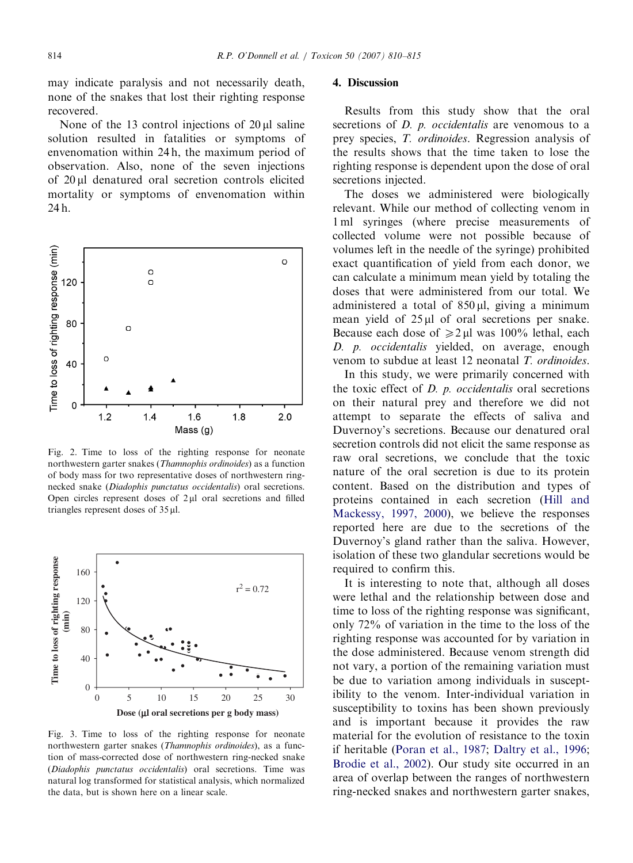<span id="page-4-0"></span>may indicate paralysis and not necessarily death, none of the snakes that lost their righting response recovered.

None of the 13 control injections of  $20 \mu l$  saline solution resulted in fatalities or symptoms of envenomation within 24 h, the maximum period of observation. Also, none of the seven injections of 20 ml denatured oral secretion controls elicited mortality or symptoms of envenomation within 24 h.



Fig. 2. Time to loss of the righting response for neonate northwestern garter snakes (Thamnophis ordinoides) as a function of body mass for two representative doses of northwestern ringnecked snake (Diadophis punctatus occidentalis) oral secretions. Open circles represent doses of  $2\mu$ l oral secretions and filled triangles represent doses of 35 ml.



Fig. 3. Time to loss of the righting response for neonate northwestern garter snakes (Thamnophis ordinoides), as a function of mass-corrected dose of northwestern ring-necked snake (Diadophis punctatus occidentalis) oral secretions. Time was natural log transformed for statistical analysis, which normalized the data, but is shown here on a linear scale.

## 4. Discussion

Results from this study show that the oral secretions of *D. p. occidentalis* are venomous to a prey species, T. ordinoides. Regression analysis of the results shows that the time taken to lose the righting response is dependent upon the dose of oral secretions injected.

The doses we administered were biologically relevant. While our method of collecting venom in 1 ml syringes (where precise measurements of collected volume were not possible because of volumes left in the needle of the syringe) prohibited exact quantification of yield from each donor, we can calculate a minimum mean yield by totaling the doses that were administered from our total. We administered a total of  $850 \mu l$ , giving a minimum mean yield of  $25 \mu l$  of oral secretions per snake. Because each dose of  $\ge 2 \mu l$  was 100% lethal, each D. *p. occidentalis* yielded, on average, enough venom to subdue at least 12 neonatal T. ordinoides.

In this study, we were primarily concerned with the toxic effect of  $D$ .  $p$ . occidentalis oral secretions on their natural prey and therefore we did not attempt to separate the effects of saliva and Duvernoy's secretions. Because our denatured oral secretion controls did not elicit the same response as raw oral secretions, we conclude that the toxic nature of the oral secretion is due to its protein content. Based on the distribution and types of proteins contained in each secretion ([Hill and](#page-5-0) [Mackessy, 1997, 2000\)](#page-5-0), we believe the responses reported here are due to the secretions of the Duvernoy's gland rather than the saliva. However, isolation of these two glandular secretions would be required to confirm this.

It is interesting to note that, although all doses were lethal and the relationship between dose and time to loss of the righting response was significant, only 72% of variation in the time to the loss of the righting response was accounted for by variation in the dose administered. Because venom strength did not vary, a portion of the remaining variation must be due to variation among individuals in susceptibility to the venom. Inter-individual variation in susceptibility to toxins has been shown previously and is important because it provides the raw material for the evolution of resistance to the toxin if heritable [\(Poran et al., 1987](#page-5-0); [Daltry et al., 1996;](#page-5-0) [Brodie et al., 2002](#page-5-0)). Our study site occurred in an area of overlap between the ranges of northwestern ring-necked snakes and northwestern garter snakes,